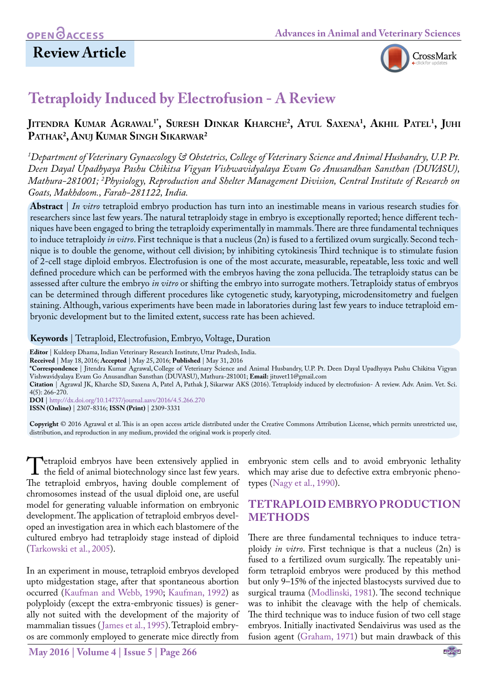## **Review Article**



# **Tetraploidy Induced by Electrofusion - A Review**

## **Jitendra Kumar Agrawal1\*, Suresh Dinkar Kharche2 , Atul Saxena1 , Akhil Patel1 , Juhi Pathak2 , Anuj Kumar Singh Sikarwar2**

*1 Department of Veterinary Gynaecology & Obstetrics, College of Veterinary Science and Animal Husbandry, U.P. Pt. Deen Dayal Upadhyaya Pashu Chikitsa Vigyan Vishwavidyalaya Evam Go Anusandhan Sansthan (DUVASU), Mathura-281001; 2 Physiology, Reproduction and Shelter Management Division, Central Institute of Research on Goats, Makhdoom., Farah-281122, India.*

**Abstract** | *In vitro* tetraploid embryo production has turn into an inestimable means in various research studies for researchers since last few years. The natural tetraploidy stage in embryo is exceptionally reported; hence different techniques have been engaged to bring the tetraploidy experimentally in mammals. There are three fundamental techniques to induce tetraploidy *in vitro*. First technique is that a nucleus (2n) is fused to a fertilized ovum surgically. Second technique is to double the genome, without cell division; by inhibiting cytokinesis Third technique is to stimulate fusion of 2-cell stage diploid embryos. Electrofusion is one of the most accurate, measurable, repeatable, less toxic and well defined procedure which can be performed with the embryos having the zona pellucida. The tetraploidy status can be assessed after culture the embryo *in vitro* or shifting the embryo into surrogate mothers. Tetraploidy status of embryos can be determined through different procedures like cytogenetic study, karyotyping, microdensitometry and fuelgen staining. Although, various experiments have been made in laboratories during last few years to induce tetraploid embryonic development but to the limited extent, success rate has been achieved.

**Keywords** | Tetraploid, Electrofusion, Embryo, Voltage, Duration

**Editor** | Kuldeep Dhama, Indian Veterinary Research Institute, Uttar Pradesh, India.

**Received** | May 18, 2016; **Accepted** | May 25, 2016; **Published** | May 31, 2016

**\*Correspondence** | Jitendra Kumar Agrawal,College of Veterinary Science and Animal Husbandry, U.P. Pt. Deen Dayal Upadhyaya Pashu Chikitsa Vigyan Vishwavidyalaya Evam Go Anusandhan Sansthan (DUVASU), Mathura-281001; **Email:** [jituvet11@gmail.com](mailto:jituvet11@gmail.com)

**Citation** | Agrawal JK, Kharche SD, Saxena A, Patel A, Pathak J, Sikarwar AKS (2016). Tetraploidy induced by electrofusion- A review. Adv. Anim. Vet. Sci. 4(5): 266-270.

**DOI** | <http://dx.doi.org/10.14737/journal.aavs/2016/4.5.266.270> **ISSN (Online)** | 2307-8316; **ISSN (Print)** | 2309-3331

**Copyright** © 2016 Agrawal et al. This is an open access article distributed under the Creative Commons Attribution License, which permits unrestricted use, distribution, and reproduction in any medium, provided the original work is properly cited.

**T**etraploid embryos have been extensively applied in the field of animal biotechnology since last few years.<br>The tetraploid embryos, having double complement of The tetraploid embryos, having double complement of chromosomes instead of the usual diploid one, are useful model for generating valuable information on embryonic development. The application of tetraploid embryos developed an investigation area in which each blastomere of the cultured embryo had tetraploidy stage instead of diploid ([Tarkowski et al., 2005\)](#page-4-0).

In an experiment in mouse, tetraploid embryos developed upto midgestation stage, after that spontaneous abortion occurred [\(Kaufman and Webb, 1990](#page-4-1); [Kaufman, 1992](#page-4-2)) as polyploidy (except the extra-embryonic tissues) is generally not suited with the development of the majority of mammalian tissues ([James et al., 1995\)](#page-4-3). Tetraploid embryos are commonly employed to generate mice directly from

**May 2016 | Volume 4 | Issue 5 | Page 266**

embryonic stem cells and to avoid embryonic lethality which may arise due to defective extra embryonic phenotypes ([Nagy et al., 1990\)](#page-4-4).

### **TETRAPLOID EMBRYO PRODUCTION METHODS**

There are three fundamental techniques to induce tetraploidy *in vitro*. First technique is that a nucleus (2n) is fused to a fertilized ovum surgically. The repeatably uniform tetraploid embryos were produced by this method but only 9–15% of the injected blastocysts survived due to surgical trauma [\(Modlinski, 1981](#page-4-5)). The second technique was to inhibit the cleavage with the help of chemicals. The third technique was to induce fusion of two cell stage embryos. Initially inactivated Sendaivirus was used as the fusion agent [\(Graham, 1971](#page-3-0)) but main drawback of this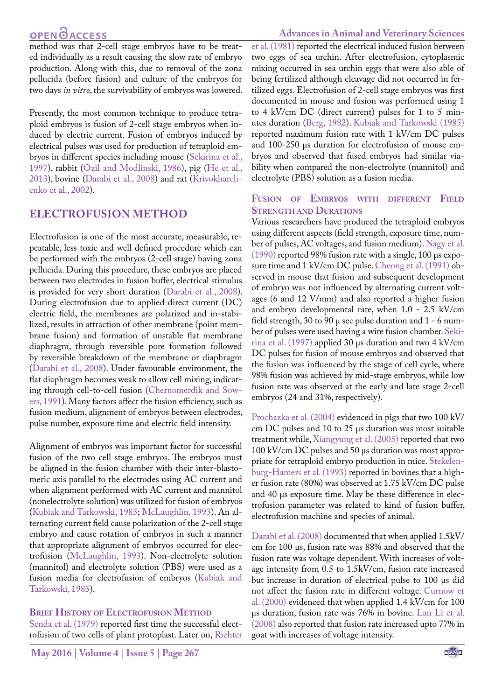## **OPEN**<sub>d</sub>

#### **Advances in Animal and Veterinary Sciences**

method was that 2-cell stage embryos have to be treated individually as a result causing the slow rate of embryo production. Along with this, due to removal of the zona pellucida (before fusion) and culture of the embryos for two days *in vitro*, the survivability of embryos was lowered.

Presently, the most common technique to produce tetraploid embryos is fusion of 2-cell stage embryos when induced by electric current. Fusion of embryos induced by electrical pulses was used for production of tetraploid embryos in different species including mouse ([Sekirina et al.,](#page-4-6) [1997](#page-4-6)), rabbit [\(Ozil and Modlinski, 1986](#page-4-7)), pig ([He et al.,](#page-3-1) [2013](#page-3-1)), bovine ([Darabi et al., 2008](#page-3-2)) and rat ([Krivokharch](#page-4-8)[enko et al., 2002\)](#page-4-8).

### **ELECTROFUSION METHOD**

Electrofusion is one of the most accurate, measurable, repeatable, less toxic and well defined procedure which can be performed with the embryos (2-cell stage) having zona pellucida. During this procedure, these embryos are placed between two electrodes in fusion buffer, electrical stimulus is provided for very short duration [\(Darabi et al., 2008\)](#page-3-2). During electrofusion due to applied direct current (DC) electric field, the membranes are polarized and in-stabilized, results in attraction of other membrane (point membrane fusion) and formation of unstable flat membrane diaphragm, through reversible pore formation followed by reversible breakdown of the membrane or diaphragm ([Darabi et al., 2008\)](#page-3-2). Under favourable environment, the flat diaphragm becomes weak to allow cell mixing, indicating through cell-to-cell fusion ([Chernomerdik and Sow](#page-3-3)[ers, 1991](#page-3-3)). Many factors affect the fusion efficiency, such as fusion medium, alignment of embryos between electrodes, pulse number, exposure time and electric field intensity.

Alignment of embryos was important factor for successful fusion of the two cell stage embryos. The embryos must be aligned in the fusion chamber with their inter-blastomeric axis parallel to the electrodes using AC current and when alignment performed with AC current and mannitol (nonelectrolyte solution) was utilized for fusion of embryos ([Kubiak and Tarkowski, 1985](#page-4-9); [McLaughlin, 1993\)](#page-4-10). An alternating current field cause polarization of the 2-cell stage embryo and cause rotation of embryos in such a manner that appropriate alignment of embryos occurred for electrofusion [\(McLaughlin, 1993](#page-4-10)). Non-electrolyte solution (mannitol) and electrolyte solution (PBS) were used as a fusion media for electrofusion of embryos [\(Kubiak and](#page-4-9) [Tarkowski, 1985](#page-4-9)).

#### **Brief History of Electrofusion Method**

[Senda et al. \(1979\)](#page-4-11) reported first time the successful electrofusion of two cells of plant protoplast. Later on, [Richter](#page-4-12) [et al. \(1981\)](#page-4-12) reported the electrical induced fusion between two eggs of sea urchin. After electrofusion, cytoplasmic mixing occurred in sea urchin eggs that were also able of being fertilized although cleavage did not occurred in fertilized eggs. Electrofusion of 2-cell stage embryos was first documented in mouse and fusion was performed using 1 to 4 kV/cm DC (direct current) pulses for 1 to 5 minutes duration [\(Berg, 1982](#page-3-4)). [Kubiak and Tarkowski \(1985\)](#page-4-9) reported maximum fusion rate with 1 kV/cm DC pulses and 100-250 μs duration for electrofusion of mouse embryos and observed that fused embryos had similar viability when compared the non-electrolyte (mannitol) and electrolyte (PBS) solution as a fusion media.

#### **Fusion of Embryos with different Field Strength and Durations**

Various researchers have produced the tetraploid embryos using different aspects (field strength, exposure time, number of pulses, AC voltages, and fusion medium). [Nagy et al.](#page-4-4)  [\(1990\)](#page-4-4) reported 98% fusion rate with a single, 100 μs exposure time and 1 kV/cm DC pulse. Cheong et al. (1991) observed in mouse that fusion and subsequent development of embryo was not influenced by alternating current voltages (6 and 12 V/mm) and also reported a higher fusion and embryo developmental rate, when 1.0 - 2.5 kV/cm field strength, 30 to 90 μ sec pulse duration and 1 - 6 number of pulses were used having a wire fusion chamber. [Seki](#page-4-6)[rina et al. \(1997\)](#page-4-6) applied 30 μs duration and two 4 kV/cm DC pulses for fusion of mouse embryos and observed that the fusion was influenced by the stage of cell cycle, where 98% fusion was achieved by mid-stage embryos, while low fusion rate was observed at the early and late stage 2-cell embryos (24 and 31%, respectively).

[Prochazka et al. \(2004\)](#page-4-13) evidenced in pigs that two 100 kV/ cm DC pulses and 10 to 25 μs duration was most suitable treatment while, [Xiangyung et al. \(2005\)](#page-4-14) reported that two 100 kV/cm DC pulses and 50 μs duration was most appropriate for tetraploid embryo production in mice. Stekelenburg-Hamers et al. (1993) reported in bovines that a higher fusion rate (80%) was observed at 1.75 kV/cm DC pulse and 40 μs exposure time. May be these difference in electrofusion parameter was related to kind of fusion buffer, electrofusion machine and species of animal.

[Darabi et al. \(2008\) d](#page-3-2)ocumented that when applied 1.5kV/ cm for 100 μs, fusion rate was 88% and observed that the fusion rate was voltage dependent. With increases of voltage intensity from 0.5 to 1.5kV/cm, fusion rate increased but increase in duration of electrical pulse to 100 μs did not affect the fusion rate in different voltage. [Curnow et](#page-3-5)  [al. \(2000\)](#page-3-5) evidenced that when applied 1.4 kV/cm for 100 μs duration, fusion rate was 76% in bovine. [Lan Li et al.](#page-4-15)  [\(2008\)](#page-4-15) also reported that fusion rate increased upto 77% in goat with increases of voltage intensity.

NE**X**US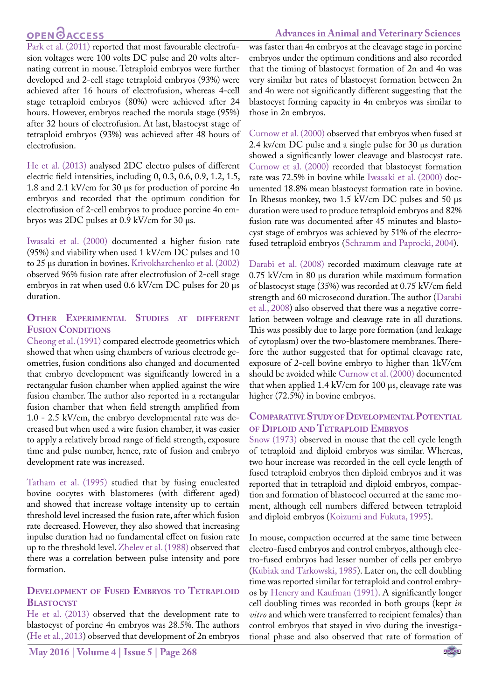# **OPEN**OACCESS

#### **Advances in Animal and Veterinary Sciences**

[Park et al. \(2011\)](#page-4-16) reported that most favourable electrofusion voltages were 100 volts DC pulse and 20 volts alternating current in mouse. Tetraploid embryos were further developed and 2-cell stage tetraploid embryos (93%) were achieved after 16 hours of electrofusion, whereas 4-cell stage tetraploid embryos (80%) were achieved after 24 hours. However, embryos reached the morula stage (95%) after 32 hours of electrofusion. At last, blastocyst stage of tetraploid embryos (93%) was achieved after 48 hours of electrofusion.

[He et al. \(2013\)](#page-3-1) analysed 2DC electro pulses of different electric field intensities, including 0, 0.3, 0.6, 0.9, 1.2, 1.5, 1.8 and 2.1 kV/cm for 30 µs for production of porcine 4n embryos and recorded that the optimum condition for electrofusion of 2-cell embryos to produce porcine 4n embryos was 2DC pulses at 0.9 kV/cm for 30 µs.

[Iwasaki et al. \(2000\)](#page-4-17) documented a higher fusion rate (95%) and viability when used 1 kV/cm DC pulses and 10 to 25 μs duration in bovines. [Krivokharchenko et al. \(2002\)](#page-4-8) observed 96% fusion rate after electrofusion of 2-cell stage embryos in rat when used 0.6 kV/cm DC pulses for 20 μs duration.

#### **Other Experimental Studies at different Fusion Conditions**

Cheong et al. (1991) compared electrode geometrics which showed that when using chambers of various electrode geometries, fusion conditions also changed and documented that embryo development was significantly lowered in a rectangular fusion chamber when applied against the wire fusion chamber. The author also reported in a rectangular fusion chamber that when field strength amplified from 1.0 - 2.5 kV/cm, the embryo developmental rate was decreased but when used a wire fusion chamber, it was easier to apply a relatively broad range of field strength, exposure time and pulse number, hence, rate of fusion and embryo development rate was increased.

[Tatham et al. \(1995\)](#page-4-18) studied that by fusing enucleated bovine oocytes with blastomeres (with different aged) and showed that increase voltage intensity up to certain threshold level increased the fusion rate, after which fusion rate decreased. However, they also showed that increasing inpulse duration had no fundamental effect on fusion rate up to the threshold level. [Zhelev et al. \(1988\)](#page-4-19) observed that there was a correlation between pulse intensity and pore formation.

#### **Development of Fused Embryos to Tetraploid Blastocyst**

[He et al. \(2013\) o](#page-3-1)bserved that the development rate to blastocyst of porcine 4n embryos was 28.5%. The authors ([He et al., 2013\)](#page-3-1) observed that development of 2n embryos

was faster than 4n embryos at the cleavage stage in porcine embryos under the optimum conditions and also recorded that the timing of blastocyst formation of 2n and 4n was very similar but rates of blastocyst formation between 2n and 4n were not significantly different suggesting that the blastocyst forming capacity in 4n embryos was similar to those in 2n embryos.

[Curnow et al. \(2000\)](#page-3-5) observed that embryos when fused at 2.4 kv/cm DC pulse and a single pulse for 30 μs duration showed a significantly lower cleavage and blastocyst rate. [Curnow et al. \(2000\)](#page-3-5) recorded that blastocyst formation rate was 72.5% in bovine while [Iwasaki et al. \(2000\)](#page-4-17) documented 18.8% mean blastocyst formation rate in bovine. In Rhesus monkey, two 1.5 kV/cm DC pulses and 50 μs duration were used to produce tetraploid embryos and 82% fusion rate was documented after 45 minutes and blastocyst stage of embryos was achieved by 51% of the electrofused tetraploid embryos [\(Schramm and Paprocki, 2004](#page-4-20)).

[Darabi et al. \(2008\)](#page-3-2) recorded maximum cleavage rate at 0.75 kV/cm in 80 μs duration while maximum formation of blastocyst stage (35%) was recorded at 0.75 kV/cm field strength and 60 microsecond duration. The author ([Darabi](#page-3-2)  [et al., 2008](#page-3-2)) also observed that there was a negative correlation between voltage and cleavage rate in all durations. This was possibly due to large pore formation (and leakage of cytoplasm) over the two-blastomere membranes. Therefore the author suggested that for optimal cleavage rate, exposure of 2-cell bovine embryo to higher than 1kV/cm should be avoided while [Curnow et al. \(2000\)](#page-3-5) documented that when applied 1.4 kV/cm for 100 μs, cleavage rate was higher (72.5%) in bovine embryos.

#### COMPARATIVE STUDY OF DEVELOPMENTAL POTENTIAL **of Diploid and Tetraploid Embryos**

[Snow \(1973\)](#page-4-21) observed in mouse that the cell cycle length of tetraploid and diploid embryos was similar. Whereas, two hour increase was recorded in the cell cycle length of fused tetraploid embryos then diploid embryos and it was reported that in tetraploid and diploid embryos, compaction and formation of blastocoel occurred at the same moment, although cell numbers differed between tetraploid and diploid embryos [\(Koizumi and Fukuta, 1995\)](#page-4-22).

In mouse, compaction occurred at the same time between electro-fused embryos and control embryos, although electro-fused embryos had lesser number of cells per embryo [\(Kubiak and Tarkowski, 1985\)](#page-4-9). Later on, the cell doubling time was reported similar for tetraploid and control embryos by [Henery and Kaufman \(1991\).](#page-4-23) A significantly longer cell doubling times was recorded in both groups (kept *in vitro* and which were transferred to recipient females) than control embryos that stayed in vivo during the investigational phase and also observed that rate of formation of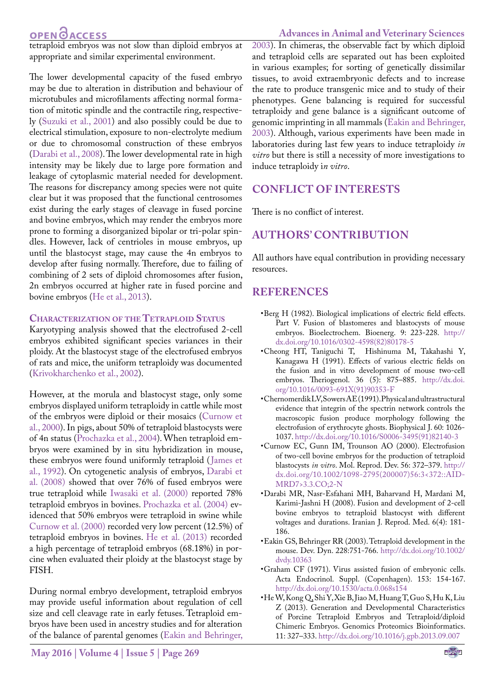## **OPEN**OACCESS

tetraploid embryos was not slow than diploid embryos at appropriate and similar experimental environment.

The lower developmental capacity of the fused embryo may be due to alteration in distribution and behaviour of microtubules and microfilaments affecting normal formation of mitotic spindle and the contractile ring, respectively [\(Suzuki et al., 2001](#page-4-24)) and also possibly could be due to electrical stimulation, exposure to non-electrolyte medium or due to chromosomal construction of these embryos ([Darabi et al., 2008\)](#page-3-2). The lower developmental rate in high intensity may be likely due to large pore formation and leakage of cytoplasmic material needed for development. The reasons for discrepancy among species were not quite clear but it was proposed that the functional centrosomes exist during the early stages of cleavage in fused porcine and bovine embryos, which may render the embryos more prone to forming a disorganized bipolar or tri-polar spindles. However, lack of centrioles in mouse embryos, up until the blastocyst stage, may cause the 4n embryos to develop after fusing normally. Therefore, due to failing of combining of 2 sets of diploid chromosomes after fusion, 2n embryos occurred at higher rate in fused porcine and bovine embryos [\(He et al., 2013](#page-3-1)).

#### **Characterization of the Tetraploid Status**

Karyotyping analysis showed that the electrofused 2-cell embryos exhibited significant species variances in their ploidy. At the blastocyst stage of the electrofused embryos of rats and mice, the uniform tetraploidy was documented ([Krivokharchenko et al., 2002](#page-4-8)).

However, at the morula and blastocyst stage, only some embryos displayed uniform tetraploidy in cattle while most of the embryos were diploid or their mosaics [\(Curnow et](#page-3-5) [al., 2000](#page-3-5)). In pigs, about 50% of tetraploid blastocysts were of 4n status [\(Prochazka et al., 2004\)](#page-4-13). When tetraploid embryos were examined by in situ hybridization in mouse, these embryos were found uniformly tetraploid ([James et](#page-4-25) [al., 1992](#page-4-25)). On cytogenetic analysis of embryos, [Darabi et](#page-3-2) [al. \(2008\) s](#page-3-2)howed that over 76% of fused embryos were true tetraploid while [Iwasaki et al. \(2000\)](#page-4-17) reported 78% tetraploid embryos in bovines. [Prochazka et al. \(2004\)](#page-4-13) evidenced that 50% embryos were tetraploid in swine while [Curnow et al. \(2000\)](#page-3-5) recorded very low percent (12.5%) of tetraploid embryos in bovines. [He et al. \(2013\)](#page-3-1) recorded a high percentage of tetraploid embryos (68.18%) in porcine when evaluated their ploidy at the blastocyst stage by FISH.

During normal embryo development, tetraploid embryos may provide useful information about regulation of cell size and cell cleavage rate in early fetuses. Tetraploid embryos have been used in ancestry studies and for alteration of the balance of parental genomes ([Eakin and Behringer,](#page-3-6) [2003](#page-3-6)). In chimeras, the observable fact by which diploid and tetraploid cells are separated out has been exploited in various examples; for sorting of genetically dissimilar tissues, to avoid extraembryonic defects and to increase the rate to produce transgenic mice and to study of their phenotypes. Gene balancing is required for successful tetraploidy and gene balance is a significant outcome of genomic imprinting in all mammals [\(Eakin and Behringer,](#page-3-6) [2003](#page-3-6)). Although, various experiments have been made in laboratories during last few years to induce tetraploidy *in vitro* but there is still a necessity of more investigations to induce tetraploidy i*n vitro*.

### **CONFLICT OF INTERESTS**

There is no conflict of interest.

## **AUTHORS' CONTRIBUTION**

All authors have equal contribution in providing necessary resources.

#### **REFERENCES**

- <span id="page-3-4"></span>•Berg H (1982). Biological implications of electric field effects. Part V. Fusion of blastomeres and blastocysts of mouse embryos. Bioelectrochem. Bioenerg. 9: 223-228. [http://](http://dx.doi.org/10.1016/0302-4598(82)80178-5) [dx.doi.org/10.1016/0302-4598\(82\)80178-5](http://dx.doi.org/10.1016/0302-4598(82)80178-5)
- •Cheong HT, Taniguchi T, Hishinuma M, Takahashi Y, Kanagawa H (1991). Effects of various electric fields on the fusion and in vitro development of mouse two-cell embryos. [Theriogenol.](http://www.sciencedirect.com/science/journal/0093691X) [36 \(5\)](http://www.sciencedirect.com/science/journal/0093691X/36/5): 875–885. [http://dx.doi.](http://dx.doi.org/10.1016/0093-691X(91)90353-F) [org/10.1016/0093-691X\(91\)90353-F](http://dx.doi.org/10.1016/0093-691X(91)90353-F)
- <span id="page-3-3"></span>•Chernomerdik LV, Sowers AE (1991). Physical and ultrastructural evidence that integrin of the spectrin network controls the macroscopic fusion produce morphology following the electrofusion of erythrocyte ghosts. Biophysical J. 60: 1026- 1037. [http://dx.doi.org/10.1016/S0006-3495\(91\)82140-3](http://dx.doi.org/10.1016/S0006-3495(91)82140-3)
- <span id="page-3-5"></span>•Curnow EC, Gunn IM, Trounson AO (2000). Electrofusion of two-cell bovine embryos for the production of tetraploid blastocysts *in vitro*. Mol. Reprod. Dev. 56: 372–379. [http://](http://dx.doi.org/10.1002/1098-2795(200007)56:3%3C372::AID-MRD7%3E3.3.CO;2-N) [dx.doi.org/10.1002/1098-2795\(200007\)56:3<372::AID-](http://dx.doi.org/10.1002/1098-2795(200007)56:3%3C372::AID-MRD7%3E3.3.CO;2-N)[MRD7>3.3.CO;2-N](http://dx.doi.org/10.1002/1098-2795(200007)56:3%3C372::AID-MRD7%3E3.3.CO;2-N)
- <span id="page-3-2"></span>•Darabi MR, Nasr-Esfahani MH, Baharvand H, Mardani M, Karimi-Jashni H (2008). Fusion and development of 2-cell bovine embryos to tetraploid blastocyst with different voltages and durations. Iranian J. Reprod. Med. 6(4): 181- 186.
- <span id="page-3-6"></span>•Eakin GS, Behringer RR (2003). Tetraploid development in the mouse. Dev. Dyn. 228:751-766. [http://dx.doi.org/10.1002/](http://dx.doi.org/10.1002/dvdy.10363) [dvdy.10363](http://dx.doi.org/10.1002/dvdy.10363)
- <span id="page-3-0"></span>•Graham CF (1971). Virus assisted fusion of embryonic cells. Acta Endocrinol. Suppl. (Copenhagen). 153: 154-167. <http://dx.doi.org/10.1530/acta.0.068s154>
- <span id="page-3-1"></span>•He W, Kong Q, Shi Y, Xie B, Jiao M, Huang T, Guo S, Hu K, Liu Z (2013). Generation and Developmental Characteristics of Porcine Tetraploid Embryos and Tetraploid/diploid Chimeric Embryos. Genomics Proteomics Bioinformatics. 11: 327–333.<http://dx.doi.org/10.1016/j.gpb.2013.09.007>

### **Advances in Animal and Veterinary Sciences**